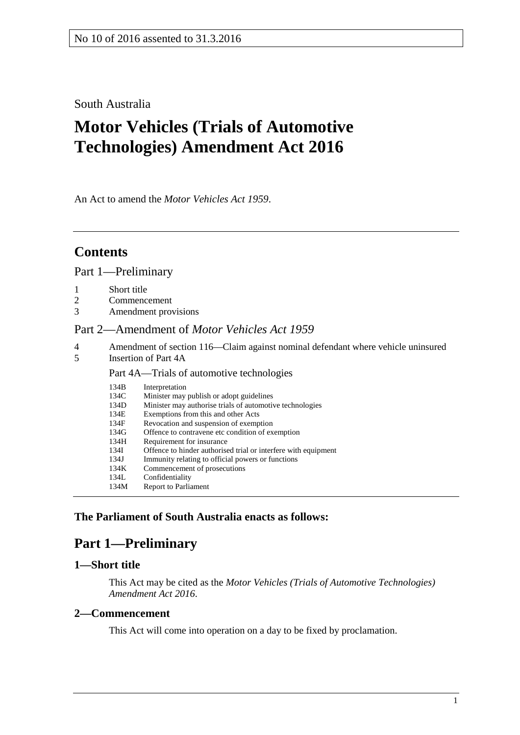# South Australia

# **Motor Vehicles (Trials of Automotive Technologies) Amendment Act 2016**

An Act to amend the *[Motor Vehicles Act](http://www.legislation.sa.gov.au/index.aspx?action=legref&type=act&legtitle=Motor%20Vehicles%20Act%201959) 1959*.

# **Contents**

Part [1—Preliminary](#page-0-0)

- 
- 1 [Short title](#page-0-1)<br>2 Commenc 2 [Commencement](#page-0-2)<br>3 Amendment prov
- [Amendment provisions](#page-1-0)

#### Part [2—Amendment of](#page-1-1) *Motor Vehicles Act 1959*

- 4 [Amendment of section 116—Claim against nominal defendant where vehicle uninsured](#page-1-2)<br>5 Insertion of Part 4A
- [Insertion of Part 4A](#page-1-3)

#### Part 4A—Trials of automotive technologies

| 134B | Interpretation                                                 |
|------|----------------------------------------------------------------|
| 134C | Minister may publish or adopt guidelines                       |
| 134D | Minister may authorise trials of automotive technologies       |
| 134E | Exemptions from this and other Acts                            |
| 134F | Revocation and suspension of exemption                         |
| 134G | Offence to contravene etc condition of exemption               |
| 134H | Requirement for insurance                                      |
| 134I | Offence to hinder authorised trial or interfere with equipment |
| 134J | Immunity relating to official powers or functions              |
| 134K | Commencement of prosecutions                                   |
| 134L | Confidentiality                                                |
| 134M | Report to Parliament                                           |

### <span id="page-0-0"></span>**The Parliament of South Australia enacts as follows:**

# **Part 1—Preliminary**

### <span id="page-0-1"></span>**1—Short title**

This Act may be cited as the *Motor Vehicles (Trials of Automotive Technologies) Amendment Act 2016*.

#### <span id="page-0-2"></span>**2—Commencement**

This Act will come into operation on a day to be fixed by proclamation.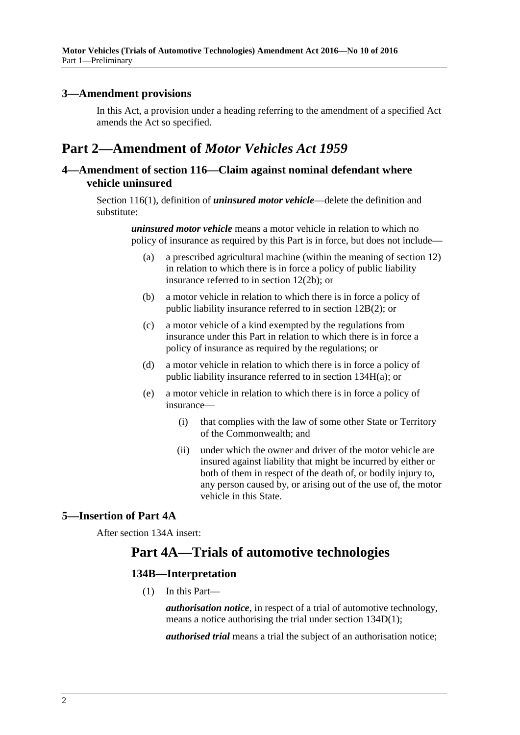#### <span id="page-1-0"></span>**3—Amendment provisions**

In this Act, a provision under a heading referring to the amendment of a specified Act amends the Act so specified.

# <span id="page-1-1"></span>**Part 2—Amendment of** *Motor Vehicles Act 1959*

## <span id="page-1-2"></span>**4—Amendment of section 116—Claim against nominal defendant where vehicle uninsured**

Section 116(1), definition of *uninsured motor vehicle*—delete the definition and substitute:

> *uninsured motor vehicle* means a motor vehicle in relation to which no policy of insurance as required by this Part is in force, but does not include—

- (a) a prescribed agricultural machine (within the meaning of section 12) in relation to which there is in force a policy of public liability insurance referred to in section 12(2b); or
- (b) a motor vehicle in relation to which there is in force a policy of public liability insurance referred to in section 12B(2); or
- (c) a motor vehicle of a kind exempted by the regulations from insurance under this Part in relation to which there is in force a policy of insurance as required by the regulations; or
- (d) a motor vehicle in relation to which there is in force a policy of public liability insurance referred to in section 134H(a); or
- (e) a motor vehicle in relation to which there is in force a policy of insurance—
	- (i) that complies with the law of some other State or Territory of the Commonwealth; and
	- (ii) under which the owner and driver of the motor vehicle are insured against liability that might be incurred by either or both of them in respect of the death of, or bodily injury to, any person caused by, or arising out of the use of, the motor vehicle in this State.

## <span id="page-1-3"></span>**5—Insertion of Part 4A**

After section 134A insert:

# **Part 4A—Trials of automotive technologies**

### **134B—Interpretation**

(1) In this Part—

*authorisation notice*, in respect of a trial of automotive technology, means a notice authorising the trial under section [134D\(1\);](#page-2-0)

*authorised trial* means a trial the subject of an authorisation notice;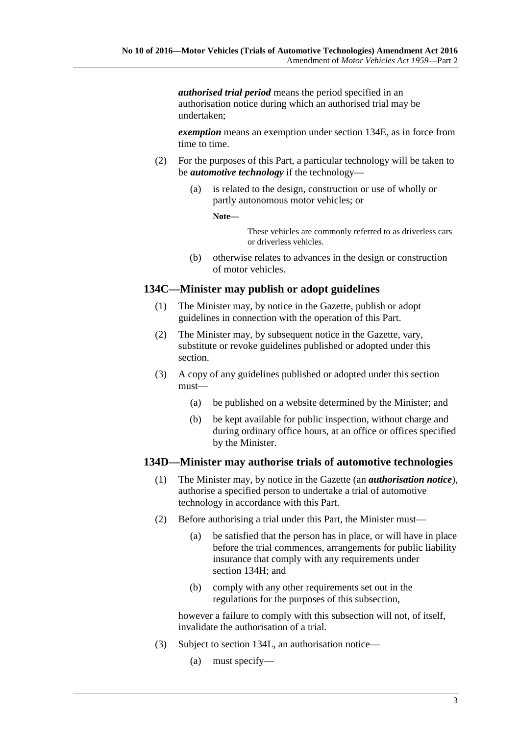*authorised trial period* means the period specified in an authorisation notice during which an authorised trial may be undertaken;

*exemption* means an exemption under section 134E, as in force from time to time.

- (2) For the purposes of this Part, a particular technology will be taken to be *automotive technology* if the technology—
	- (a) is related to the design, construction or use of wholly or partly autonomous motor vehicles; or

**Note—**

These vehicles are commonly referred to as driverless cars or driverless vehicles.

(b) otherwise relates to advances in the design or construction of motor vehicles.

# **134C—Minister may publish or adopt guidelines**

- (1) The Minister may, by notice in the Gazette, publish or adopt guidelines in connection with the operation of this Part.
- (2) The Minister may, by subsequent notice in the Gazette, vary, substitute or revoke guidelines published or adopted under this section.
- (3) A copy of any guidelines published or adopted under this section must—
	- (a) be published on a website determined by the Minister; and
	- (b) be kept available for public inspection, without charge and during ordinary office hours, at an office or offices specified by the Minister.

### <span id="page-2-0"></span>**134D—Minister may authorise trials of automotive technologies**

- (1) The Minister may, by notice in the Gazette (an *authorisation notice*), authorise a specified person to undertake a trial of automotive technology in accordance with this Part.
- (2) Before authorising a trial under this Part, the Minister must—
	- (a) be satisfied that the person has in place, or will have in place before the trial commences, arrangements for public liability insurance that comply with any requirements under section 134H; and
	- (b) comply with any other requirements set out in the regulations for the purposes of this subsection,

however a failure to comply with this subsection will not, of itself, invalidate the authorisation of a trial.

- (3) Subject to section 134L, an authorisation notice—
	- (a) must specify—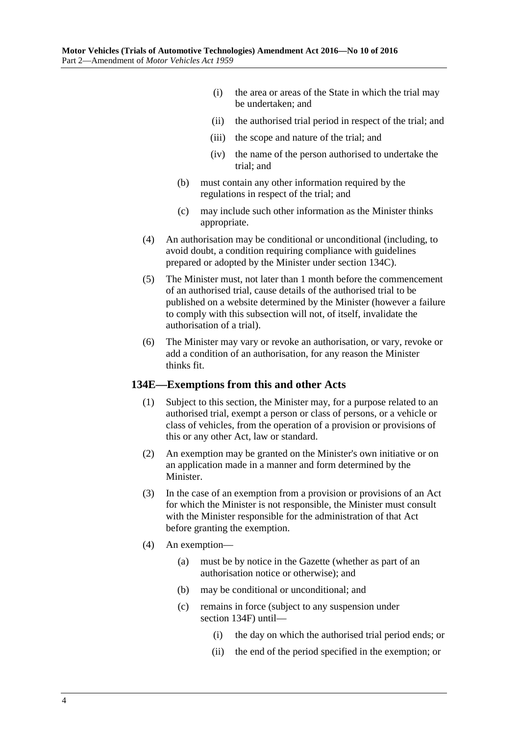- (i) the area or areas of the State in which the trial may be undertaken; and
- (ii) the authorised trial period in respect of the trial; and
- (iii) the scope and nature of the trial; and
- (iv) the name of the person authorised to undertake the trial; and
- (b) must contain any other information required by the regulations in respect of the trial; and
- (c) may include such other information as the Minister thinks appropriate.
- (4) An authorisation may be conditional or unconditional (including, to avoid doubt, a condition requiring compliance with guidelines prepared or adopted by the Minister under section 134C).
- (5) The Minister must, not later than 1 month before the commencement of an authorised trial, cause details of the authorised trial to be published on a website determined by the Minister (however a failure to comply with this subsection will not, of itself, invalidate the authorisation of a trial).
- (6) The Minister may vary or revoke an authorisation, or vary, revoke or add a condition of an authorisation, for any reason the Minister thinks fit.

#### **134E—Exemptions from this and other Acts**

- (1) Subject to this section, the Minister may, for a purpose related to an authorised trial, exempt a person or class of persons, or a vehicle or class of vehicles, from the operation of a provision or provisions of this or any other Act, law or standard.
- (2) An exemption may be granted on the Minister's own initiative or on an application made in a manner and form determined by the Minister.
- (3) In the case of an exemption from a provision or provisions of an Act for which the Minister is not responsible, the Minister must consult with the Minister responsible for the administration of that Act before granting the exemption.
- (4) An exemption—
	- (a) must be by notice in the Gazette (whether as part of an authorisation notice or otherwise); and
	- (b) may be conditional or unconditional; and
	- (c) remains in force (subject to any suspension under section 134F) until—
		- (i) the day on which the authorised trial period ends; or
		- (ii) the end of the period specified in the exemption; or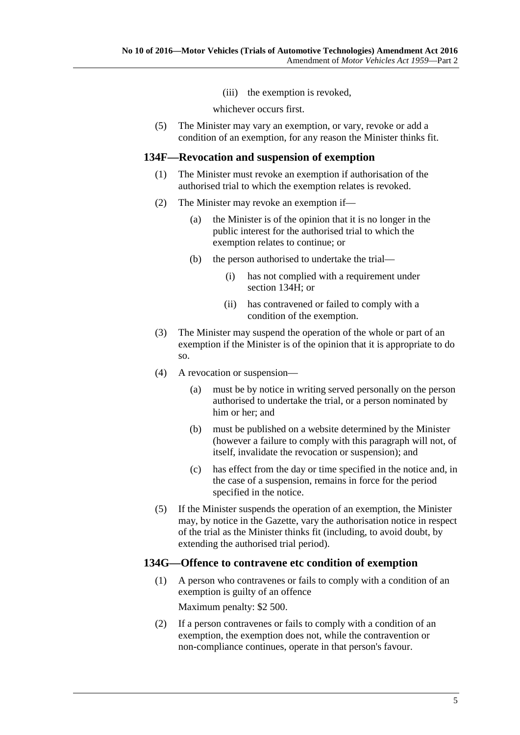(iii) the exemption is revoked,

whichever occurs first.

(5) The Minister may vary an exemption, or vary, revoke or add a condition of an exemption, for any reason the Minister thinks fit.

#### **134F—Revocation and suspension of exemption**

- (1) The Minister must revoke an exemption if authorisation of the authorised trial to which the exemption relates is revoked.
- (2) The Minister may revoke an exemption if—
	- (a) the Minister is of the opinion that it is no longer in the public interest for the authorised trial to which the exemption relates to continue; or
	- (b) the person authorised to undertake the trial—
		- (i) has not complied with a requirement under section 134H; or
		- (ii) has contravened or failed to comply with a condition of the exemption.
- (3) The Minister may suspend the operation of the whole or part of an exemption if the Minister is of the opinion that it is appropriate to do so.
- (4) A revocation or suspension—
	- (a) must be by notice in writing served personally on the person authorised to undertake the trial, or a person nominated by him or her; and
	- (b) must be published on a website determined by the Minister (however a failure to comply with this paragraph will not, of itself, invalidate the revocation or suspension); and
	- (c) has effect from the day or time specified in the notice and, in the case of a suspension, remains in force for the period specified in the notice.
- (5) If the Minister suspends the operation of an exemption, the Minister may, by notice in the Gazette, vary the authorisation notice in respect of the trial as the Minister thinks fit (including, to avoid doubt, by extending the authorised trial period).

#### <span id="page-4-1"></span>**134G—Offence to contravene etc condition of exemption**

- (1) A person who contravenes or fails to comply with a condition of an exemption is guilty of an offence Maximum penalty: \$2 500.
- <span id="page-4-0"></span>(2) If a person contravenes or fails to comply with a condition of an exemption, the exemption does not, while the contravention or non-compliance continues, operate in that person's favour.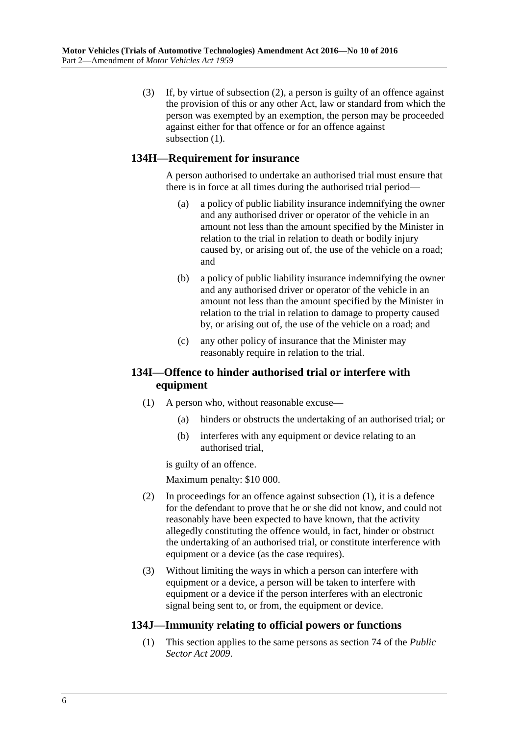(3) If, by virtue of [subsection](#page-4-0) (2), a person is guilty of an offence against the provision of this or any other Act, law or standard from which the person was exempted by an exemption, the person may be proceeded against either for that offence or for an offence against [subsection](#page-4-1)  $(1)$ .

### **134H—Requirement for insurance**

A person authorised to undertake an authorised trial must ensure that there is in force at all times during the authorised trial period—

- (a) a policy of public liability insurance indemnifying the owner and any authorised driver or operator of the vehicle in an amount not less than the amount specified by the Minister in relation to the trial in relation to death or bodily injury caused by, or arising out of, the use of the vehicle on a road; and
- (b) a policy of public liability insurance indemnifying the owner and any authorised driver or operator of the vehicle in an amount not less than the amount specified by the Minister in relation to the trial in relation to damage to property caused by, or arising out of, the use of the vehicle on a road; and
- (c) any other policy of insurance that the Minister may reasonably require in relation to the trial.

### <span id="page-5-0"></span>**134I—Offence to hinder authorised trial or interfere with equipment**

- (1) A person who, without reasonable excuse—
	- (a) hinders or obstructs the undertaking of an authorised trial; or
	- (b) interferes with any equipment or device relating to an authorised trial,

is guilty of an offence.

Maximum penalty: \$10 000.

- (2) In proceedings for an offence against [subsection](#page-5-0) (1), it is a defence for the defendant to prove that he or she did not know, and could not reasonably have been expected to have known, that the activity allegedly constituting the offence would, in fact, hinder or obstruct the undertaking of an authorised trial, or constitute interference with equipment or a device (as the case requires).
- (3) Without limiting the ways in which a person can interfere with equipment or a device, a person will be taken to interfere with equipment or a device if the person interferes with an electronic signal being sent to, or from, the equipment or device.

### **134J—Immunity relating to official powers or functions**

(1) This section applies to the same persons as section 74 of the *[Public](http://www.legislation.sa.gov.au/index.aspx?action=legref&type=act&legtitle=Public%20Sector%20Act%202009)  [Sector Act](http://www.legislation.sa.gov.au/index.aspx?action=legref&type=act&legtitle=Public%20Sector%20Act%202009) 2009*.